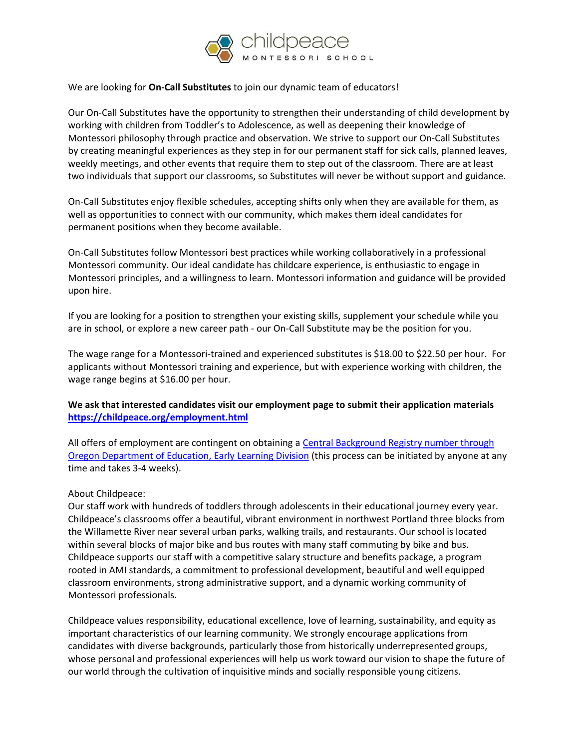

## We are looking for **On-Call Substitutes** to join our dynamic team of educators!

Our On-Call Substitutes have the opportunity to strengthen their understanding of child development by working with children from Toddler's to Adolescence, as well as deepening their knowledge of Montessori philosophy through practice and observation. We strive to support our On-Call Substitutes by creating meaningful experiences as they step in for our permanent staff for sick calls, planned leaves, weekly meetings, and other events that require them to step out of the classroom. There are at least two individuals that support our classrooms, so Substitutes will never be without support and guidance.

On-Call Substitutes enjoy flexible schedules, accepting shifts only when they are available for them, as well as opportunities to connect with our community, which makes them ideal candidates for permanent positions when they become available.

On-Call Substitutes follow Montessori best practices while working collaboratively in a professional Montessori community. Our ideal candidate has childcare experience, is enthusiastic to engage in Montessori principles, and a willingness to learn. Montessori information and guidance will be provided upon hire.

If you are looking for a position to strengthen your existing skills, supplement your schedule while you are in school, or explore a new career path - our On-Call Substitute may be the position for you.

The wage range for a Montessori-trained and experienced substitutes is \$18.00 to \$22.50 per hour. For applicants without Montessori training and experience, but with experience working with children, the wage range begins at \$16.00 per hour.

## **We ask that interested candidates visit our employment page to submit their application materials <https://childpeace.org/employment.html>**

All offers of employment are contingent on obtaining a [Central Background Registry number through](https://oregonearlylearning.com/providers-educators/providers-educatorscbr/)  [Oregon Department of Education, Early Learning Division](https://oregonearlylearning.com/providers-educators/providers-educatorscbr/) (this process can be initiated by anyone at any time and takes 3-4 weeks).

## About Childpeace:

Our staff work with hundreds of toddlers through adolescents in their educational journey every year. Childpeace's classrooms offer a beautiful, vibrant environment in northwest Portland three blocks from the Willamette River near several urban parks, walking trails, and restaurants. Our school is located within several blocks of major bike and bus routes with many staff commuting by bike and bus. Childpeace supports our staff with a competitive salary structure and benefits package, a program rooted in AMI standards, a commitment to professional development, beautiful and well equipped classroom environments, strong administrative support, and a dynamic working community of Montessori professionals.

Childpeace values responsibility, educational excellence, love of learning, sustainability, and equity as important characteristics of our learning community. We strongly encourage applications from candidates with diverse backgrounds, particularly those from historically underrepresented groups, whose personal and professional experiences will help us work toward our vision to shape the future of our world through the cultivation of inquisitive minds and socially responsible young citizens.